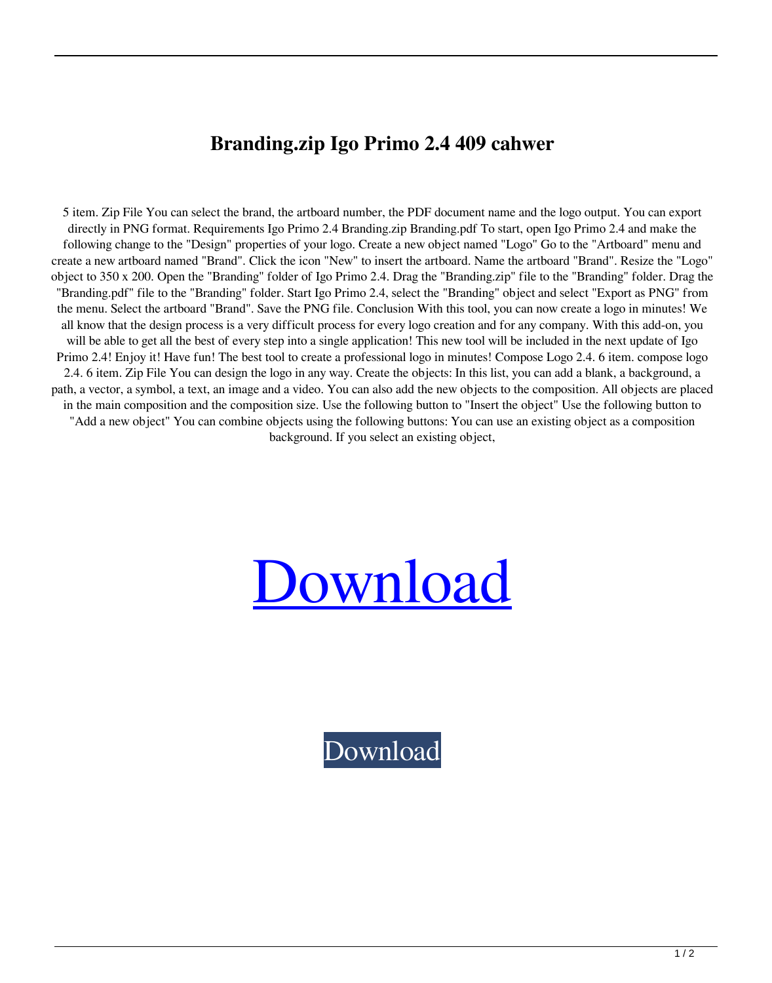## **Branding.zip Igo Primo 2.4 409 cahwer**

5 item. Zip File You can select the brand, the artboard number, the PDF document name and the logo output. You can export directly in PNG format. Requirements Igo Primo 2.4 Branding.zip Branding.pdf To start, open Igo Primo 2.4 and make the following change to the "Design" properties of your logo. Create a new object named "Logo" Go to the "Artboard" menu and create a new artboard named "Brand". Click the icon "New" to insert the artboard. Name the artboard "Brand". Resize the "Logo" object to 350 x 200. Open the "Branding" folder of Igo Primo 2.4. Drag the "Branding.zip" file to the "Branding" folder. Drag the "Branding.pdf" file to the "Branding" folder. Start Igo Primo 2.4, select the "Branding" object and select "Export as PNG" from the menu. Select the artboard "Brand". Save the PNG file. Conclusion With this tool, you can now create a logo in minutes! We all know that the design process is a very difficult process for every logo creation and for any company. With this add-on, you will be able to get all the best of every step into a single application! This new tool will be included in the next update of Igo Primo 2.4! Enjoy it! Have fun! The best tool to create a professional logo in minutes! Compose Logo 2.4. 6 item. compose logo 2.4. 6 item. Zip File You can design the logo in any way. Create the objects: In this list, you can add a blank, a background, a path, a vector, a symbol, a text, an image and a video. You can also add the new objects to the composition. All objects are placed in the main composition and the composition size. Use the following button to "Insert the object" Use the following button to "Add a new object" You can combine objects using the following buttons: You can use an existing object as a composition background. If you select an existing object,

## [Download](http://evacdir.com/ZG93bmxvYWR8U3c4TVc0eGJueDhNVFkxTWpRMk16QTFNSHg4TWpVM05IeDhLRTBwSUhKbFlXUXRZbXh2WnlCYlJtRnpkQ0JIUlU1ZA/pruned/exploiting?marguerite=fitnesspost/peckhke/uniden/YnJhbmRpbmcuemlwIGlnbyBwcmltbyAyLjQgNDA5YnJ)

[Download](http://evacdir.com/ZG93bmxvYWR8U3c4TVc0eGJueDhNVFkxTWpRMk16QTFNSHg4TWpVM05IeDhLRTBwSUhKbFlXUXRZbXh2WnlCYlJtRnpkQ0JIUlU1ZA/pruned/exploiting?marguerite=fitnesspost/peckhke/uniden/YnJhbmRpbmcuemlwIGlnbyBwcmltbyAyLjQgNDA5YnJ)